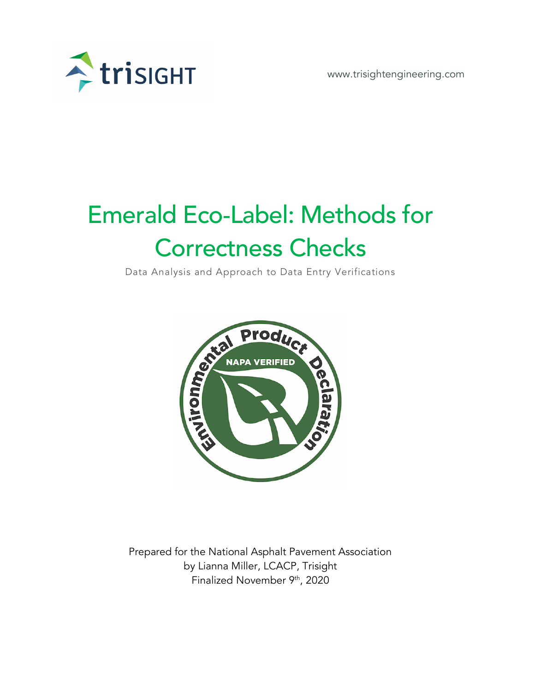

www.trisightengineering.com

# Emerald Eco-Label: Methods for Correctness Checks

Data Analysis and Approach to Data Entry Verifications



Prepared for the National Asphalt Pavement Association by Lianna Miller, LCACP, Trisight Finalized November 9th, 2020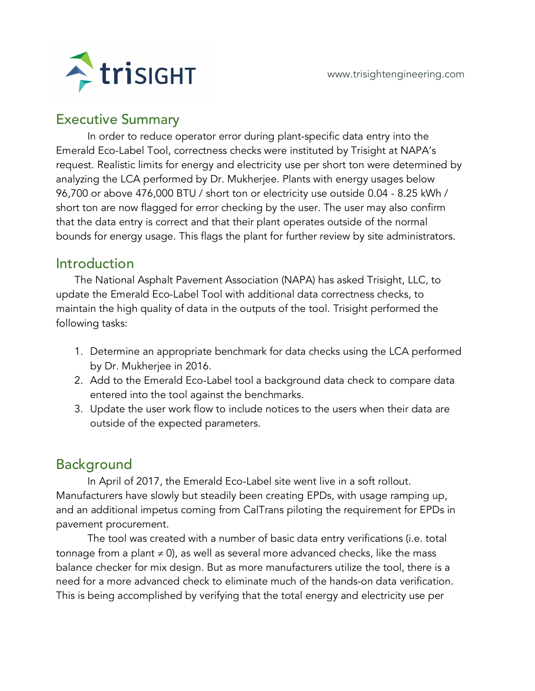

# Executive Summary

In order to reduce operator error during plant-specific data entry into the Emerald Eco-Label Tool, correctness checks were instituted by Trisight at NAPA's request. Realistic limits for energy and electricity use per short ton were determined by analyzing the LCA performed by Dr. Mukherjee. Plants with energy usages below 96,700 or above 476,000 BTU / short ton or electricity use outside 0.04 - 8.25 kWh / short ton are now flagged for error checking by the user. The user may also confirm that the data entry is correct and that their plant operates outside of the normal bounds for energy usage. This flags the plant for further review by site administrators.

# Introduction

The National Asphalt Pavement Association (NAPA) has asked Trisight, LLC, to update the Emerald Eco-Label Tool with additional data correctness checks, to maintain the high quality of data in the outputs of the tool. Trisight performed the following tasks:

- 1. Determine an appropriate benchmark for data checks using the LCA performed by Dr. Mukherjee in 2016.
- 2. Add to the Emerald Eco-Label tool a background data check to compare data entered into the tool against the benchmarks.
- 3. Update the user work flow to include notices to the users when their data are outside of the expected parameters.

# Background

In April of 2017, the Emerald Eco-Label site went live in a soft rollout. Manufacturers have slowly but steadily been creating EPDs, with usage ramping up, and an additional impetus coming from CalTrans piloting the requirement for EPDs in pavement procurement.

The tool was created with a number of basic data entry verifications (i.e. total tonnage from a plant  $\neq 0$ ), as well as several more advanced checks, like the mass balance checker for mix design. But as more manufacturers utilize the tool, there is a need for a more advanced check to eliminate much of the hands-on data verification. This is being accomplished by verifying that the total energy and electricity use per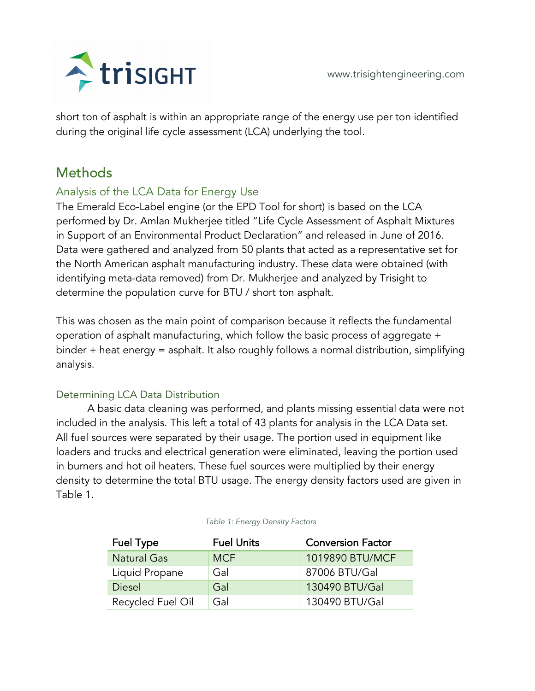



short ton of asphalt is within an appropriate range of the energy use per ton identified during the original life cycle assessment (LCA) underlying the tool.

# **Methods**

## Analysis of the LCA Data for Energy Use

The Emerald Eco-Label engine (or the EPD Tool for short) is based on the LCA performed by Dr. Amlan Mukherjee titled "Life Cycle Assessment of Asphalt Mixtures in Support of an Environmental Product Declaration" and released in June of 2016. Data were gathered and analyzed from 50 plants that acted as a representative set for the North American asphalt manufacturing industry. These data were obtained (with identifying meta-data removed) from Dr. Mukherjee and analyzed by Trisight to determine the population curve for BTU / short ton asphalt.

This was chosen as the main point of comparison because it reflects the fundamental operation of asphalt manufacturing, which follow the basic process of aggregate + binder + heat energy = asphalt. It also roughly follows a normal distribution, simplifying analysis.

## Determining LCA Data Distribution

A basic data cleaning was performed, and plants missing essential data were not included in the analysis. This left a total of 43 plants for analysis in the LCA Data set. All fuel sources were separated by their usage. The portion used in equipment like loaders and trucks and electrical generation were eliminated, leaving the portion used in burners and hot oil heaters. These fuel sources were multiplied by their energy density to determine the total BTU usage. The energy density factors used are given in Table 1.

| Fuel Type          | <b>Fuel Units</b> | <b>Conversion Factor</b> |  |
|--------------------|-------------------|--------------------------|--|
| <b>Natural Gas</b> | <b>MCF</b>        | 1019890 BTU/MCF          |  |
| Liquid Propane     | Gal               | 87006 BTU/Gal            |  |
| <b>Diesel</b>      | Gal               | 130490 BTU/Gal           |  |
| Recycled Fuel Oil  | Gal               | 130490 BTU/Gal           |  |

#### *Table 1: Energy Density Factors*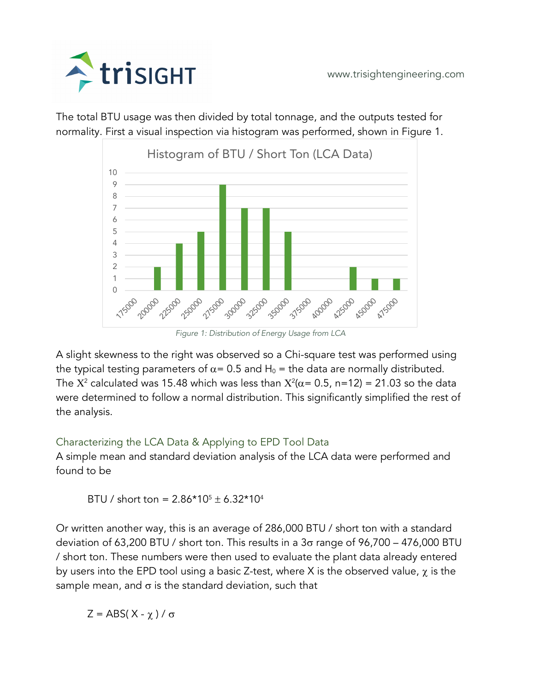

The total BTU usage was then divided by total tonnage, and the outputs tested for normality. First a visual inspection via histogram was performed, shown in Figure 1.



*Figure 1: Distribution of Energy Usage from LCA*

A slight skewness to the right was observed so a Chi-square test was performed using the typical testing parameters of  $\alpha$  = 0.5 and H<sub>0</sub> = the data are normally distributed. The  $X^2$  calculated was 15.48 which was less than  $X^2(\alpha = 0.5, n=12) = 21.03$  so the data were determined to follow a normal distribution. This significantly simplified the rest of the analysis.

#### Characterizing the LCA Data & Applying to EPD Tool Data

A simple mean and standard deviation analysis of the LCA data were performed and found to be

BTU / short ton =  $2.86*10^{5} \pm 6.32*10^{4}$ 

Or written another way, this is an average of 286,000 BTU / short ton with a standard deviation of 63,200 BTU / short ton. This results in a  $3\sigma$  range of 96,700 – 476,000 BTU / short ton. These numbers were then used to evaluate the plant data already entered by users into the EPD tool using a basic Z-test, where X is the observed value,  $\chi$  is the sample mean, and  $\sigma$  is the standard deviation, such that

 $Z = ABS(X - \chi)/\sigma$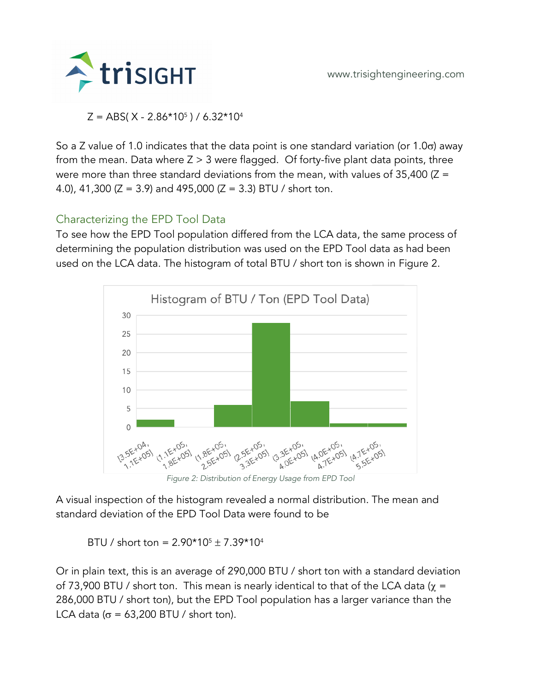

 $Z = ABS(X - 2.86*10<sup>5</sup>) / 6.32*10<sup>4</sup>$ 

So a Z value of 1.0 indicates that the data point is one standard variation (or 1.0 $\sigma$ ) away from the mean. Data where  $Z > 3$  were flagged. Of forty-five plant data points, three were more than three standard deviations from the mean, with values of  $35,400$  ( $Z =$ 4.0), 41,300 ( $Z = 3.9$ ) and 495,000 ( $Z = 3.3$ ) BTU / short ton.

## Characterizing the EPD Tool Data

To see how the EPD Tool population differed from the LCA data, the same process of determining the population distribution was used on the EPD Tool data as had been used on the LCA data. The histogram of total BTU / short ton is shown in Figure 2.



*Figure 2: Distribution of Energy Usage from EPD Tool*

A visual inspection of the histogram revealed a normal distribution. The mean and standard deviation of the EPD Tool Data were found to be

BTU / short ton =  $2.90*10<sup>5</sup> \pm 7.39*10<sup>4</sup>$ 

Or in plain text, this is an average of 290,000 BTU / short ton with a standard deviation of 73,900 BTU / short ton. This mean is nearly identical to that of the LCA data ( $\chi$  = 286,000 BTU / short ton), but the EPD Tool population has a larger variance than the LCA data ( $\sigma$  = 63,200 BTU / short ton).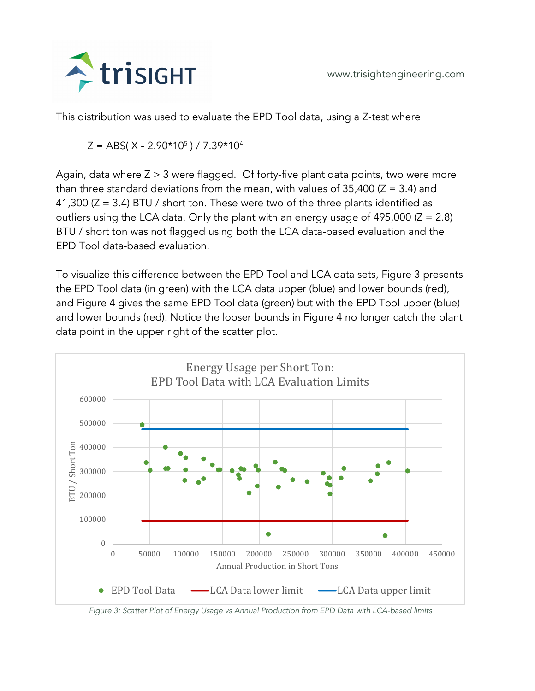

This distribution was used to evaluate the EPD Tool data, using a Z-test where

 $Z = ABS(X - 2.90*10<sup>5</sup>)/7.39*10<sup>4</sup>$ 

Again, data where  $Z > 3$  were flagged. Of forty-five plant data points, two were more than three standard deviations from the mean, with values of  $35,400$  ( $Z = 3.4$ ) and 41,300 ( $Z = 3.4$ ) BTU / short ton. These were two of the three plants identified as outliers using the LCA data. Only the plant with an energy usage of 495,000  $(Z = 2.8)$ BTU / short ton was not flagged using both the LCA data-based evaluation and the EPD Tool data-based evaluation.

To visualize this difference between the EPD Tool and LCA data sets, Figure 3 presents the EPD Tool data (in green) with the LCA data upper (blue) and lower bounds (red), and Figure 4 gives the same EPD Tool data (green) but with the EPD Tool upper (blue) and lower bounds (red). Notice the looser bounds in Figure 4 no longer catch the plant data point in the upper right of the scatter plot.



*Figure 3: Scatter Plot of Energy Usage vs Annual Production from EPD Data with LCA-based limits*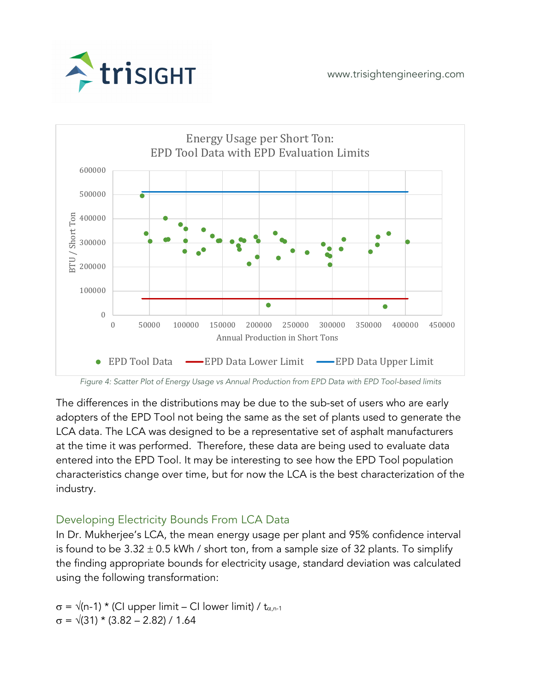



*Figure 4: Scatter Plot of Energy Usage vs Annual Production from EPD Data with EPD Tool-based limits*

The differences in the distributions may be due to the sub-set of users who are early adopters of the EPD Tool not being the same as the set of plants used to generate the LCA data. The LCA was designed to be a representative set of asphalt manufacturers at the time it was performed. Therefore, these data are being used to evaluate data entered into the EPD Tool. It may be interesting to see how the EPD Tool population characteristics change over time, but for now the LCA is the best characterization of the industry.

## Developing Electricity Bounds From LCA Data

In Dr. Mukherjee's LCA, the mean energy usage per plant and 95% confidence interval is found to be  $3.32 \pm 0.5$  kWh / short ton, from a sample size of 32 plants. To simplify the finding appropriate bounds for electricity usage, standard deviation was calculated using the following transformation:

 $\sigma = \sqrt{(n-1)}$  \* (CI upper limit – CI lower limit) / t<sub>a,n-1</sub>  $\sigma = \sqrt{(31)} \times (3.82 - 2.82) / 1.64$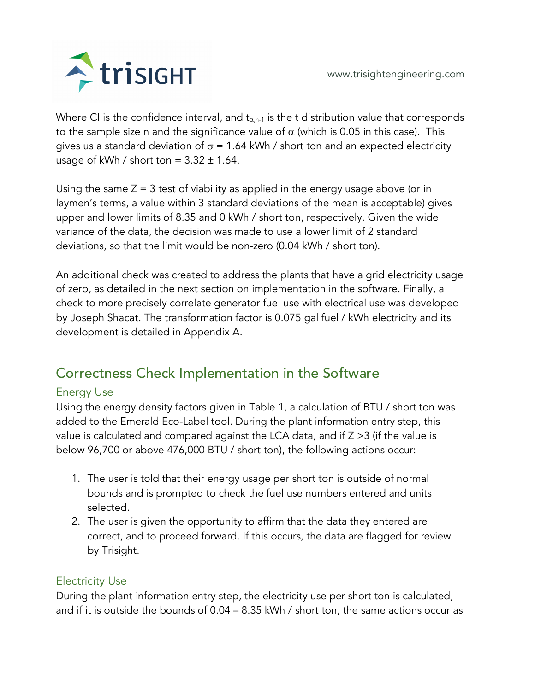

Where CI is the confidence interval, and  $t_{\alpha,n-1}$  is the t distribution value that corresponds to the sample size n and the significance value of  $\alpha$  (which is 0.05 in this case). This gives us a standard deviation of  $\sigma$  = 1.64 kWh / short ton and an expected electricity usage of kWh / short ton =  $3.32 \pm 1.64$ .

Using the same  $Z = 3$  test of viability as applied in the energy usage above (or in laymen's terms, a value within 3 standard deviations of the mean is acceptable) gives upper and lower limits of 8.35 and 0 kWh / short ton, respectively. Given the wide variance of the data, the decision was made to use a lower limit of 2 standard deviations, so that the limit would be non-zero (0.04 kWh / short ton).

An additional check was created to address the plants that have a grid electricity usage of zero, as detailed in the next section on implementation in the software. Finally, a check to more precisely correlate generator fuel use with electrical use was developed by Joseph Shacat. The transformation factor is 0.075 gal fuel / kWh electricity and its development is detailed in Appendix A.

# Correctness Check Implementation in the Software

## Energy Use

Using the energy density factors given in Table 1, a calculation of BTU / short ton was added to the Emerald Eco-Label tool. During the plant information entry step, this value is calculated and compared against the LCA data, and if Z >3 (if the value is below 96,700 or above 476,000 BTU / short ton), the following actions occur:

- 1. The user is told that their energy usage per short ton is outside of normal bounds and is prompted to check the fuel use numbers entered and units selected.
- 2. The user is given the opportunity to affirm that the data they entered are correct, and to proceed forward. If this occurs, the data are flagged for review by Trisight.

#### Electricity Use

During the plant information entry step, the electricity use per short ton is calculated, and if it is outside the bounds of 0.04 – 8.35 kWh / short ton, the same actions occur as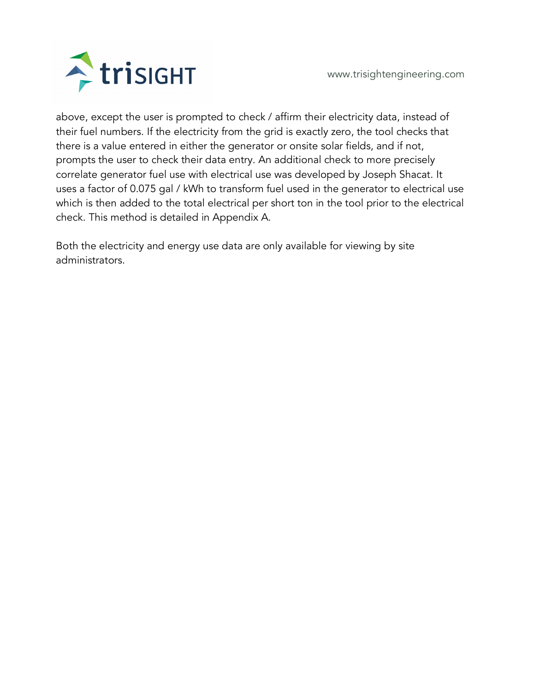

www.trisightengineering.com

above, except the user is prompted to check / affirm their electricity data, instead of their fuel numbers. If the electricity from the grid is exactly zero, the tool checks that there is a value entered in either the generator or onsite solar fields, and if not, prompts the user to check their data entry. An additional check to more precisely correlate generator fuel use with electrical use was developed by Joseph Shacat. It uses a factor of 0.075 gal / kWh to transform fuel used in the generator to electrical use which is then added to the total electrical per short ton in the tool prior to the electrical check. This method is detailed in Appendix A.

Both the electricity and energy use data are only available for viewing by site administrators.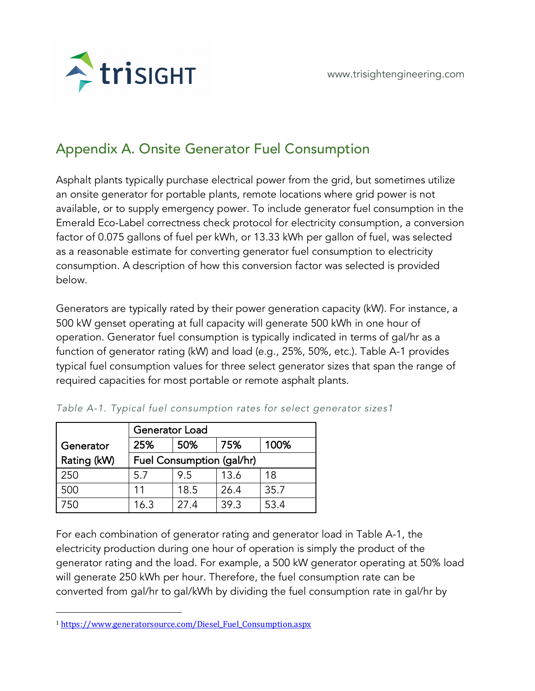

# Appendix A. Onsite Generator Fuel Consumption

Asphalt plants typically purchase electrical power from the grid, but sometimes utilize an onsite generator for portable plants, remote locations where grid power is not available, or to supply emergency power. To include generator fuel consumption in the Emerald Eco-Label correctness check protocol for electricity consumption, a conversion factor of 0.075 gallons of fuel per kWh, or 13.33 kWh per gallon of fuel, was selected as a reasonable estimate for converting generator fuel consumption to electricity consumption. A description of how this conversion factor was selected is provided below.

Generators are typically rated by their power generation capacity (kW). For instance, a 500 kW genset operating at full capacity will generate 500 kWh in one hour of operation. Generator fuel consumption is typically indicated in terms of gal/hr as a function of generator rating (kW) and load (e.g., 25%, 50%, etc.). Table A-1 provides typical fuel consumption values for three select generator sizes that span the range of required capacities for most portable or remote asphalt plants.

|             | <b>Generator Load</b>     |            |      |      |  |  |  |
|-------------|---------------------------|------------|------|------|--|--|--|
| Generator   | 25%                       | 75%<br>50% |      | 100% |  |  |  |
| Rating (kW) | Fuel Consumption (gal/hr) |            |      |      |  |  |  |
| 250         | 5.7                       | 9.5        | 13.6 | 18   |  |  |  |
| 500         | 11                        | 18.5       | 26.4 | 35.7 |  |  |  |
|             | 16.3                      | 27.4       | 39.3 | 53.4 |  |  |  |

For each combination of generator rating and generator load in Table A-1, the electricity production during one hour of operation is simply the product of the generator rating and the load. For example, a 500 kW generator operating at 50% load will generate 250 kWh per hour. Therefore, the fuel consumption rate can be converted from gal/hr to gal/kWh by dividing the fuel consumption rate in gal/hr by

<sup>1</sup> https://www.generatorsource.com/Diesel\_Fuel\_Consumption.aspx